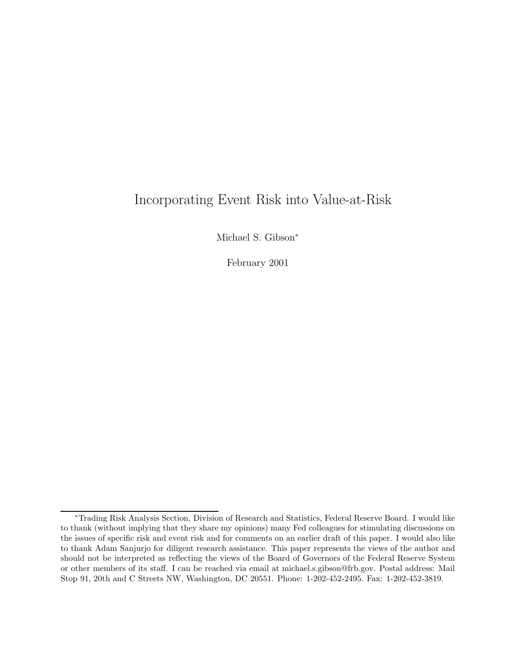# Incorporating Event Risk into Value-at-Risk

Michael S. Gibson<sup>∗</sup>

February 2001

<sup>∗</sup>Trading Risk Analysis Section, Division of Research and Statistics, Federal Reserve Board. I would like to thank (without implying that they share my opinions) many Fed colleagues for stimulating discussions on the issues of specific risk and event risk and for comments on an earlier draft of this paper. I would also like to thank Adam Sanjurjo for diligent research assistance. This paper represents the views of the author and should not be interpreted as reflecting the views of the Board of Governors of the Federal Reserve System or other members of its staff. I can be reached via email at michael.s.gibson@frb.gov. Postal address: Mail Stop 91, 20th and C Streets NW, Washington, DC 20551. Phone: 1-202-452-2495. Fax: 1-202-452-3819.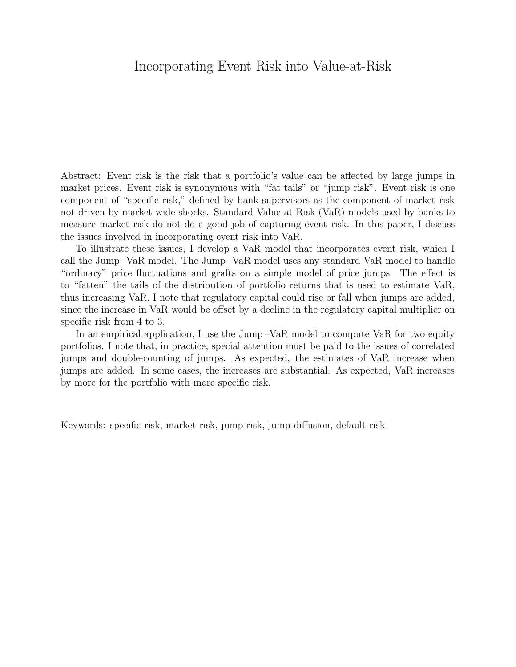# Incorporating Event Risk into Value-at-Risk

Abstract: Event risk is the risk that a portfolio's value can be affected by large jumps in market prices. Event risk is synonymous with "fat tails" or "jump risk". Event risk is one component of "specific risk," defined by bank supervisors as the component of market risk not driven by market-wide shocks. Standard Value-at-Risk (VaR) models used by banks to measure market risk do not do a good job of capturing event risk. In this paper, I discuss the issues involved in incorporating event risk into VaR.

To illustrate these issues, I develop a VaR model that incorporates event risk, which I call the Jump –VaR model. The Jump –VaR model uses any standard VaR model to handle "ordinary" price fluctuations and grafts on a simple model of price jumps. The effect is to "fatten" the tails of the distribution of portfolio returns that is used to estimate VaR, thus increasing VaR. I note that regulatory capital could rise or fall when jumps are added, since the increase in VaR would be offset by a decline in the regulatory capital multiplier on specific risk from 4 to 3.

In an empirical application, I use the Jump –VaR model to compute VaR for two equity portfolios. I note that, in practice, special attention must be paid to the issues of correlated jumps and double-counting of jumps. As expected, the estimates of VaR increase when jumps are added. In some cases, the increases are substantial. As expected, VaR increases by more for the portfolio with more specific risk.

Keywords: specific risk, market risk, jump risk, jump diffusion, default risk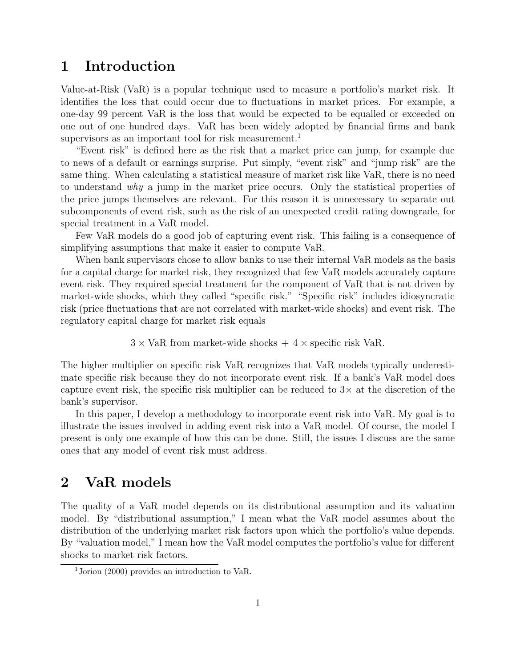# **1 Introduction**

Value-at-Risk (VaR) is a popular technique used to measure a portfolio's market risk. It identifies the loss that could occur due to fluctuations in market prices. For example, a one-day 99 percent VaR is the loss that would be expected to be equalled or exceeded on one out of one hundred days. VaR has been widely adopted by financial firms and bank supervisors as an important tool for risk measurement.<sup>1</sup>

"Event risk" is defined here as the risk that a market price can jump, for example due to news of a default or earnings surprise. Put simply, "event risk" and "jump risk" are the same thing. When calculating a statistical measure of market risk like VaR, there is no need to understand why a jump in the market price occurs. Only the statistical properties of the price jumps themselves are relevant. For this reason it is unnecessary to separate out subcomponents of event risk, such as the risk of an unexpected credit rating downgrade, for special treatment in a VaR model.

Few VaR models do a good job of capturing event risk. This failing is a consequence of simplifying assumptions that make it easier to compute VaR.

When bank supervisors chose to allow banks to use their internal VaR models as the basis for a capital charge for market risk, they recognized that few VaR models accurately capture event risk. They required special treatment for the component of VaR that is not driven by market-wide shocks, which they called "specific risk." "Specific risk" includes idiosyncratic risk (price fluctuations that are not correlated with market-wide shocks) and event risk. The regulatory capital charge for market risk equals

 $3 \times \text{VaR}$  from market-wide shocks  $+4 \times \text{specific risk VaR}.$ 

The higher multiplier on specific risk VaR recognizes that VaR models typically underestimate specific risk because they do not incorporate event risk. If a bank's VaR model does capture event risk, the specific risk multiplier can be reduced to  $3\times$  at the discretion of the bank's supervisor.

In this paper, I develop a methodology to incorporate event risk into VaR. My goal is to illustrate the issues involved in adding event risk into a VaR model. Of course, the model I present is only one example of how this can be done. Still, the issues I discuss are the same ones that any model of event risk must address.

# **2 VaR models**

The quality of a VaR model depends on its distributional assumption and its valuation model. By "distributional assumption," I mean what the VaR model assumes about the distribution of the underlying market risk factors upon which the portfolio's value depends. By "valuation model," I mean how the VaR model computes the portfolio's value for different shocks to market risk factors.

<sup>&</sup>lt;sup>1</sup>Jorion (2000) provides an introduction to VaR.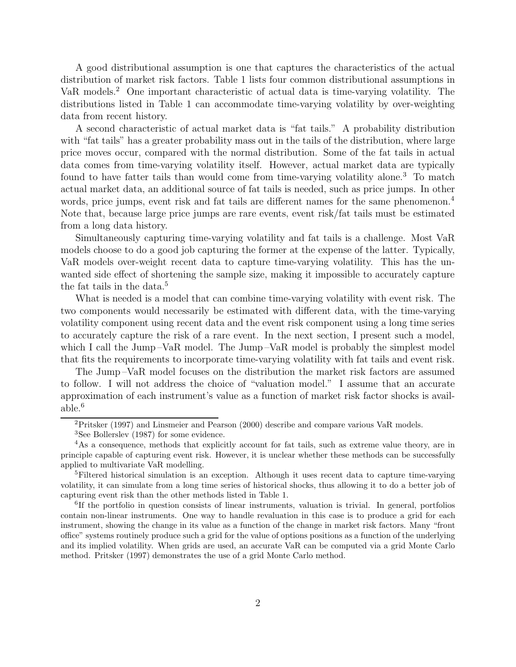A good distributional assumption is one that captures the characteristics of the actual distribution of market risk factors. Table 1 lists four common distributional assumptions in VaR models.<sup>2</sup> One important characteristic of actual data is time-varying volatility. The distributions listed in Table 1 can accommodate time-varying volatility by over-weighting data from recent history.

A second characteristic of actual market data is "fat tails." A probability distribution with "fat tails" has a greater probability mass out in the tails of the distribution, where large price moves occur, compared with the normal distribution. Some of the fat tails in actual data comes from time-varying volatility itself. However, actual market data are typically found to have fatter tails than would come from time-varying volatility alone.<sup>3</sup> To match actual market data, an additional source of fat tails is needed, such as price jumps. In other words, price jumps, event risk and fat tails are different names for the same phenomenon.<sup>4</sup> Note that, because large price jumps are rare events, event risk/fat tails must be estimated from a long data history.

Simultaneously capturing time-varying volatility and fat tails is a challenge. Most VaR models choose to do a good job capturing the former at the expense of the latter. Typically, VaR models over-weight recent data to capture time-varying volatility. This has the unwanted side effect of shortening the sample size, making it impossible to accurately capture the fat tails in the data.<sup>5</sup>

What is needed is a model that can combine time-varying volatility with event risk. The two components would necessarily be estimated with different data, with the time-varying volatility component using recent data and the event risk component using a long time series to accurately capture the risk of a rare event. In the next section, I present such a model, which I call the Jump-VaR model. The Jump-VaR model is probably the simplest model that fits the requirements to incorporate time-varying volatility with fat tails and event risk.

The Jump –VaR model focuses on the distribution the market risk factors are assumed to follow. I will not address the choice of "valuation model." I assume that an accurate approximation of each instrument's value as a function of market risk factor shocks is available.<sup>6</sup>

<sup>2</sup>Pritsker (1997) and Linsmeier and Pearson (2000) describe and compare various VaR models.

<sup>3</sup>See Bollerslev (1987) for some evidence.

<sup>4</sup>As a consequence, methods that explicitly account for fat tails, such as extreme value theory, are in principle capable of capturing event risk. However, it is unclear whether these methods can be successfully applied to multivariate VaR modelling.

<sup>&</sup>lt;sup>5</sup>Filtered historical simulation is an exception. Although it uses recent data to capture time-varying volatility, it can simulate from a long time series of historical shocks, thus allowing it to do a better job of capturing event risk than the other methods listed in Table 1.

<sup>&</sup>lt;sup>6</sup>If the portfolio in question consists of linear instruments, valuation is trivial. In general, portfolios contain non-linear instruments. One way to handle revaluation in this case is to produce a grid for each instrument, showing the change in its value as a function of the change in market risk factors. Many "front office" systems routinely produce such a grid for the value of options positions as a function of the underlying and its implied volatility. When grids are used, an accurate VaR can be computed via a grid Monte Carlo method. Pritsker (1997) demonstrates the use of a grid Monte Carlo method.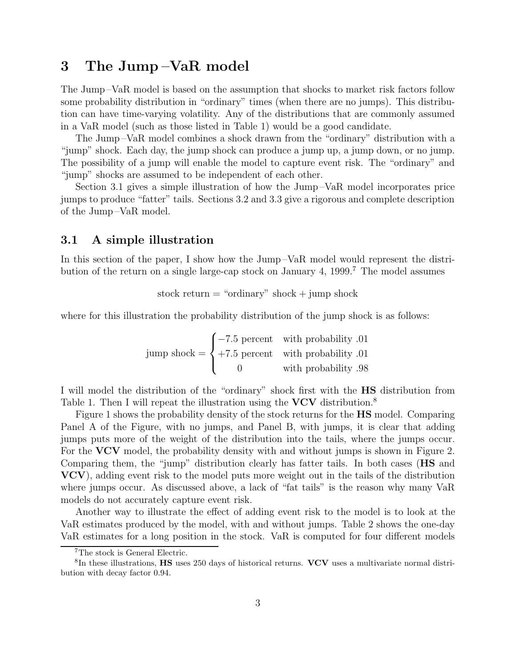# **3 The Jump –VaR model**

The Jump –VaR model is based on the assumption that shocks to market risk factors follow some probability distribution in "ordinary" times (when there are no jumps). This distribution can have time-varying volatility. Any of the distributions that are commonly assumed in a VaR model (such as those listed in Table 1) would be a good candidate.

The Jump –VaR model combines a shock drawn from the "ordinary" distribution with a "jump" shock. Each day, the jump shock can produce a jump up, a jump down, or no jump. The possibility of a jump will enable the model to capture event risk. The "ordinary" and "jump" shocks are assumed to be independent of each other.

Section 3.1 gives a simple illustration of how the Jump –VaR model incorporates price jumps to produce "fatter" tails. Sections 3.2 and 3.3 give a rigorous and complete description of the Jump –VaR model.

### **3.1 A simple illustration**

In this section of the paper, I show how the Jump-VaR model would represent the distribution of the return on a single large-cap stock on January 4, 1999.<sup>7</sup> The model assumes

stock return  $=$  "ordinary" shock  $+$  jump shock

where for this illustration the probability distribution of the jump shock is as follows:

jump shock = 
$$
\begin{cases}\n-7.5 \text{ percent} & \text{with probability } .01 \\
+7.5 \text{ percent} & \text{with probability } .01 \\
0 & \text{with probability } .98\n\end{cases}
$$

I will model the distribution of the "ordinary" shock first with the **HS** distribution from Table 1. Then I will repeat the illustration using the **VCV** distribution.<sup>8</sup>

Figure 1 shows the probability density of the stock returns for the **HS** model. Comparing Panel A of the Figure, with no jumps, and Panel B, with jumps, it is clear that adding jumps puts more of the weight of the distribution into the tails, where the jumps occur. For the **VCV** model, the probability density with and without jumps is shown in Figure 2. Comparing them, the "jump" distribution clearly has fatter tails. In both cases (**HS** and **VCV**), adding event risk to the model puts more weight out in the tails of the distribution where jumps occur. As discussed above, a lack of "fat tails" is the reason why many VaR models do not accurately capture event risk.

Another way to illustrate the effect of adding event risk to the model is to look at the VaR estimates produced by the model, with and without jumps. Table 2 shows the one-day VaR estimates for a long position in the stock. VaR is computed for four different models

<sup>7</sup>The stock is General Electric.

<sup>8</sup>In these illustrations, **HS** uses 250 days of historical returns. **VCV** uses a multivariate normal distribution with decay factor 0.94.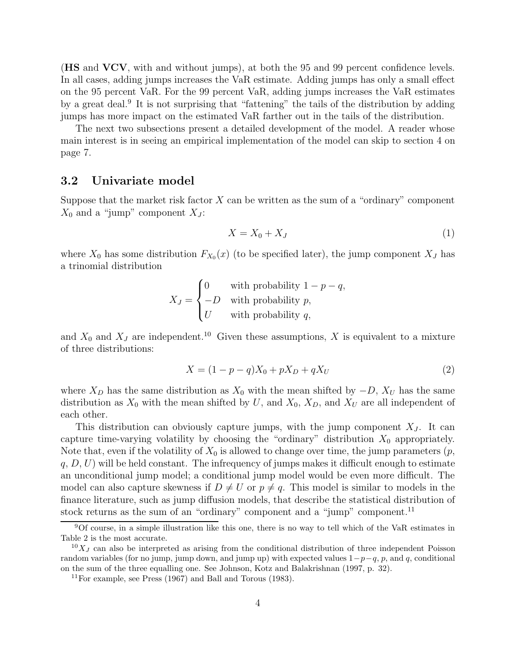(**HS** and **VCV**, with and without jumps), at both the 95 and 99 percent confidence levels. In all cases, adding jumps increases the VaR estimate. Adding jumps has only a small effect on the 95 percent VaR. For the 99 percent VaR, adding jumps increases the VaR estimates by a great deal.<sup>9</sup> It is not surprising that "fattening" the tails of the distribution by adding jumps has more impact on the estimated VaR farther out in the tails of the distribution.

The next two subsections present a detailed development of the model. A reader whose main interest is in seeing an empirical implementation of the model can skip to section 4 on page 7.

### **3.2 Univariate model**

Suppose that the market risk factor  $X$  can be written as the sum of a "ordinary" component  $X_0$  and a "jump" component  $X_J$ :

$$
X = X_0 + X_J \tag{1}
$$

where  $X_0$  has some distribution  $F_{X_0}(x)$  (to be specified later), the jump component  $X_J$  has a trinomial distribution

$$
X_J = \begin{cases} 0 & \text{with probability } 1 - p - q, \\ -D & \text{with probability } p, \\ U & \text{with probability } q, \end{cases}
$$

and  $X_0$  and  $X_J$  are independent.<sup>10</sup> Given these assumptions, X is equivalent to a mixture of three distributions:

$$
X = (1 - p - q)X_0 + pX_D + qX_U
$$
\n(2)

where  $X_D$  has the same distribution as  $X_0$  with the mean shifted by  $-D$ ,  $X_U$  has the same distribution as  $X_0$  with the mean shifted by U, and  $X_0$ ,  $X_D$ , and  $X_U$  are all independent of each other.

This distribution can obviously capture jumps, with the jump component  $X_J$ . It can capture time-varying volatility by choosing the "ordinary" distribution  $X_0$  appropriately. Note that, even if the volatility of  $X_0$  is allowed to change over time, the jump parameters  $(p,$  $q, D, U$ ) will be held constant. The infrequency of jumps makes it difficult enough to estimate an unconditional jump model; a conditional jump model would be even more difficult. The model can also capture skewness if  $D \neq U$  or  $p \neq q$ . This model is similar to models in the finance literature, such as jump diffusion models, that describe the statistical distribution of stock returns as the sum of an "ordinary" component and a "jump" component.<sup>11</sup>

<sup>9</sup>Of course, in a simple illustration like this one, there is no way to tell which of the VaR estimates in Table 2 is the most accurate.

 $10X<sub>J</sub>$  can also be interpreted as arising from the conditional distribution of three independent Poisson random variables (for no jump, jump down, and jump up) with expected values  $1-p-q$ , p, and q, conditional on the sum of the three equalling one. See Johnson, Kotz and Balakrishnan (1997, p. 32).

<sup>11</sup>For example, see Press (1967) and Ball and Torous (1983).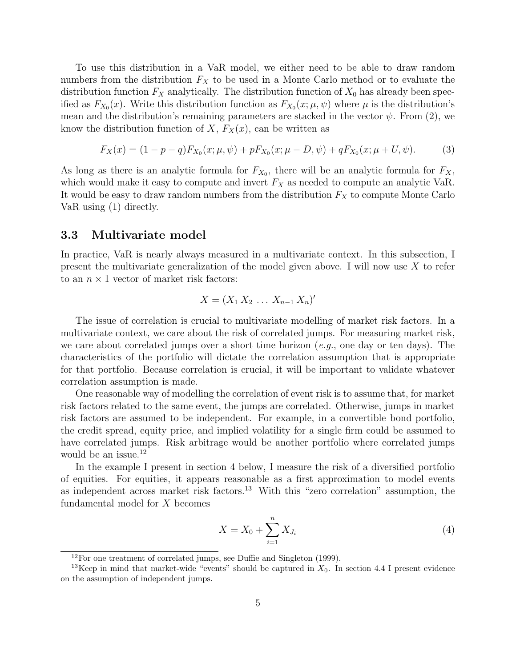To use this distribution in a VaR model, we either need to be able to draw random numbers from the distribution  $F_X$  to be used in a Monte Carlo method or to evaluate the distribution function  $F_X$  analytically. The distribution function of  $X_0$  has already been specified as  $F_{X_0}(x)$ . Write this distribution function as  $F_{X_0}(x; \mu, \psi)$  where  $\mu$  is the distribution's mean and the distribution's remaining parameters are stacked in the vector  $\psi$ . From (2), we know the distribution function of X,  $F_X(x)$ , can be written as

$$
F_X(x) = (1 - p - q)F_{X_0}(x; \mu, \psi) + pF_{X_0}(x; \mu - D, \psi) + qF_{X_0}(x; \mu + U, \psi).
$$
 (3)

As long as there is an analytic formula for  $F_{X_0}$ , there will be an analytic formula for  $F_X$ , which would make it easy to compute and invert  $F_X$  as needed to compute an analytic VaR. It would be easy to draw random numbers from the distribution  $F_X$  to compute Monte Carlo VaR using (1) directly.

### **3.3 Multivariate model**

In practice, VaR is nearly always measured in a multivariate context. In this subsection, I present the multivariate generalization of the model given above. I will now use  $X$  to refer to an  $n \times 1$  vector of market risk factors:

$$
X=(X_1 X_2 \ldots X_{n-1} X_n)'
$$

The issue of correlation is crucial to multivariate modelling of market risk factors. In a multivariate context, we care about the risk of correlated jumps. For measuring market risk, we care about correlated jumps over a short time horizon (e.g., one day or ten days). The characteristics of the portfolio will dictate the correlation assumption that is appropriate for that portfolio. Because correlation is crucial, it will be important to validate whatever correlation assumption is made.

One reasonable way of modelling the correlation of event risk is to assume that, for market risk factors related to the same event, the jumps are correlated. Otherwise, jumps in market risk factors are assumed to be independent. For example, in a convertible bond portfolio, the credit spread, equity price, and implied volatility for a single firm could be assumed to have correlated jumps. Risk arbitrage would be another portfolio where correlated jumps would be an issue.<sup>12</sup>

In the example I present in section 4 below, I measure the risk of a diversified portfolio of equities. For equities, it appears reasonable as a first approximation to model events as independent across market risk factors.<sup>13</sup> With this "zero correlation" assumption, the fundamental model for X becomes

$$
X = X_0 + \sum_{i=1}^{n} X_{J_i}
$$
 (4)

 $12$ For one treatment of correlated jumps, see Duffie and Singleton (1999).

<sup>&</sup>lt;sup>13</sup>Keep in mind that market-wide "events" should be captured in  $X_0$ . In section 4.4 I present evidence on the assumption of independent jumps.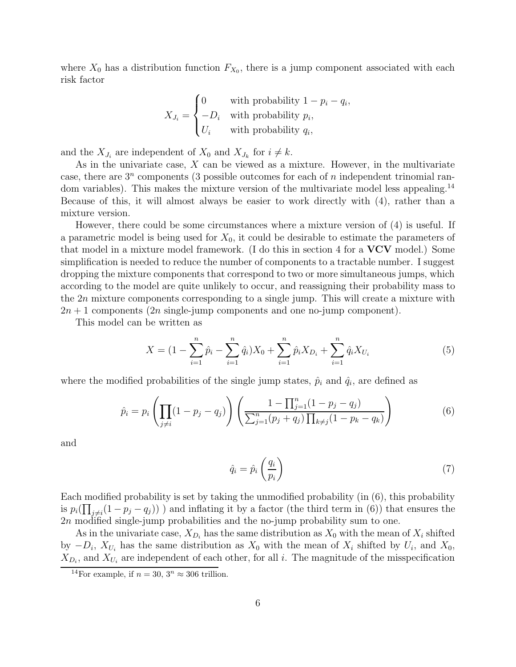where  $X_0$  has a distribution function  $F_{X_0}$ , there is a jump component associated with each risk factor

$$
X_{J_i} = \begin{cases} 0 & \text{with probability } 1 - p_i - q_i, \\ -D_i & \text{with probability } p_i, \\ U_i & \text{with probability } q_i, \end{cases}
$$

and the  $X_{J_i}$  are independent of  $X_0$  and  $X_{J_k}$  for  $i \neq k$ .

As in the univariate case, X can be viewed as a mixture. However, in the multivariate case, there are  $3^n$  components (3 possible outcomes for each of n independent trinomial random variables). This makes the mixture version of the multivariate model less appealing.<sup>14</sup> Because of this, it will almost always be easier to work directly with (4), rather than a mixture version.

However, there could be some circumstances where a mixture version of (4) is useful. If a parametric model is being used for  $X_0$ , it could be desirable to estimate the parameters of that model in a mixture model framework. (I do this in section 4 for a **VCV** model.) Some simplification is needed to reduce the number of components to a tractable number. I suggest dropping the mixture components that correspond to two or more simultaneous jumps, which according to the model are quite unlikely to occur, and reassigning their probability mass to the 2n mixture components corresponding to a single jump. This will create a mixture with  $2n + 1$  components  $(2n \text{ single-jump components} and one no-jump component).$ 

This model can be written as

$$
X = (1 - \sum_{i=1}^{n} \hat{p}_i - \sum_{i=1}^{n} \hat{q}_i) X_0 + \sum_{i=1}^{n} \hat{p}_i X_{D_i} + \sum_{i=1}^{n} \hat{q}_i X_{U_i}
$$
(5)

where the modified probabilities of the single jump states,  $\hat{p}_i$  and  $\hat{q}_i$ , are defined as

$$
\hat{p}_i = p_i \left( \prod_{j \neq i} (1 - p_j - q_j) \right) \left( \frac{1 - \prod_{j=1}^n (1 - p_j - q_j)}{\sum_{j=1}^n (p_j + q_j) \prod_{k \neq j} (1 - p_k - q_k)} \right)
$$
(6)

and

$$
\hat{q}_i = \hat{p}_i \left(\frac{q_i}{p_i}\right) \tag{7}
$$

Each modified probability is set by taking the unmodified probability (in (6), this probability is  $p_i(\prod_{j\neq i}(1-p_j-q_j))$  and inflating it by a factor (the third term in (6)) that ensures the 2n modified single-jump probabilities and the no-jump probability sum to one.

As in the univariate case,  $X_{D_i}$  has the same distribution as  $X_0$  with the mean of  $X_i$  shifted by  $-D_i$ ,  $X_{U_i}$  has the same distribution as  $X_0$  with the mean of  $X_i$  shifted by  $U_i$ , and  $X_0$ ,  $X_{D_i}$ , and  $X_{U_i}$  are independent of each other, for all i. The magnitude of the misspecification

<sup>&</sup>lt;sup>14</sup>For example, if  $n = 30$ ,  $3^n \approx 306$  trillion.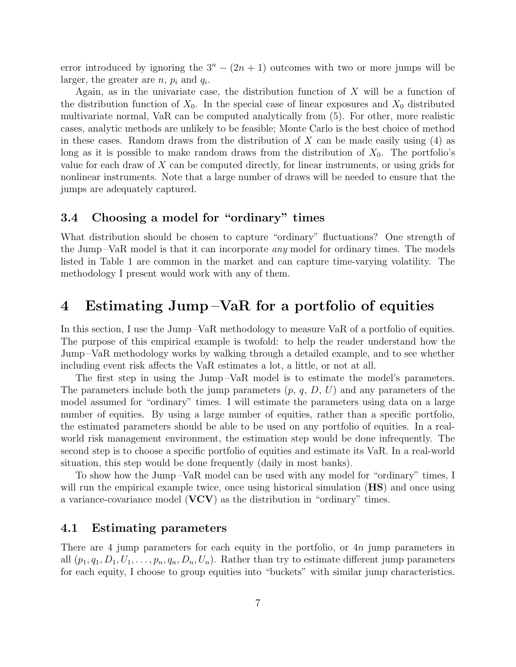error introduced by ignoring the  $3<sup>n</sup> - (2n + 1)$  outcomes with two or more jumps will be larger, the greater are  $n, p_i$  and  $q_i$ .

Again, as in the univariate case, the distribution function of  $X$  will be a function of the distribution function of  $X_0$ . In the special case of linear exposures and  $X_0$  distributed multivariate normal, VaR can be computed analytically from (5). For other, more realistic cases, analytic methods are unlikely to be feasible; Monte Carlo is the best choice of method in these cases. Random draws from the distribution of  $X$  can be made easily using (4) as long as it is possible to make random draws from the distribution of  $X_0$ . The portfolio's value for each draw of X can be computed directly, for linear instruments, or using grids for nonlinear instruments. Note that a large number of draws will be needed to ensure that the jumps are adequately captured.

### **3.4 Choosing a model for "ordinary" times**

What distribution should be chosen to capture "ordinary" fluctuations? One strength of the Jump –VaR model is that it can incorporate any model for ordinary times. The models listed in Table 1 are common in the market and can capture time-varying volatility. The methodology I present would work with any of them.

# **4 Estimating Jump –VaR for a portfolio of equities**

In this section, I use the Jump –VaR methodology to measure VaR of a portfolio of equities. The purpose of this empirical example is twofold: to help the reader understand how the Jump –VaR methodology works by walking through a detailed example, and to see whether including event risk affects the VaR estimates a lot, a little, or not at all.

The first step in using the Jump –VaR model is to estimate the model's parameters. The parameters include both the jump parameters  $(p, q, D, U)$  and any parameters of the model assumed for "ordinary" times. I will estimate the parameters using data on a large number of equities. By using a large number of equities, rather than a specific portfolio, the estimated parameters should be able to be used on any portfolio of equities. In a realworld risk management environment, the estimation step would be done infrequently. The second step is to choose a specific portfolio of equities and estimate its VaR. In a real-world situation, this step would be done frequently (daily in most banks).

To show how the Jump –VaR model can be used with any model for "ordinary" times, I will run the empirical example twice, once using historical simulation (**HS**) and once using a variance-covariance model (**VCV**) as the distribution in "ordinary" times.

### **4.1 Estimating parameters**

There are 4 jump parameters for each equity in the portfolio, or  $4n$  jump parameters in all  $(p_1, q_1, D_1, U_1,\ldots,p_n, q_n, D_n, U_n)$ . Rather than try to estimate different jump parameters for each equity, I choose to group equities into "buckets" with similar jump characteristics.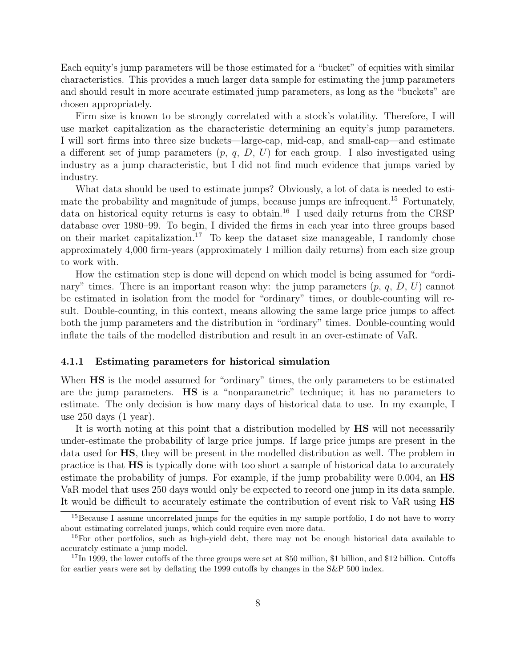Each equity's jump parameters will be those estimated for a "bucket" of equities with similar characteristics. This provides a much larger data sample for estimating the jump parameters and should result in more accurate estimated jump parameters, as long as the "buckets" are chosen appropriately.

Firm size is known to be strongly correlated with a stock's volatility. Therefore, I will use market capitalization as the characteristic determining an equity's jump parameters. I will sort firms into three size buckets—large-cap, mid-cap, and small-cap—and estimate a different set of jump parameters  $(p, q, D, U)$  for each group. I also investigated using industry as a jump characteristic, but I did not find much evidence that jumps varied by industry.

What data should be used to estimate jumps? Obviously, a lot of data is needed to estimate the probability and magnitude of jumps, because jumps are infrequent.<sup>15</sup> Fortunately, data on historical equity returns is easy to obtain.<sup>16</sup> I used daily returns from the CRSP database over 1980–99. To begin, I divided the firms in each year into three groups based on their market capitalization.<sup>17</sup> To keep the dataset size manageable, I randomly chose approximately 4,000 firm-years (approximately 1 million daily returns) from each size group to work with.

How the estimation step is done will depend on which model is being assumed for "ordinary" times. There is an important reason why: the jump parameters  $(p, q, D, U)$  cannot be estimated in isolation from the model for "ordinary" times, or double-counting will result. Double-counting, in this context, means allowing the same large price jumps to affect both the jump parameters and the distribution in "ordinary" times. Double-counting would inflate the tails of the modelled distribution and result in an over-estimate of VaR.

#### **4.1.1 Estimating parameters for historical simulation**

When **HS** is the model assumed for "ordinary" times, the only parameters to be estimated are the jump parameters. **HS** is a "nonparametric" technique; it has no parameters to estimate. The only decision is how many days of historical data to use. In my example, I use 250 days (1 year).

It is worth noting at this point that a distribution modelled by **HS** will not necessarily under-estimate the probability of large price jumps. If large price jumps are present in the data used for **HS**, they will be present in the modelled distribution as well. The problem in practice is that **HS** is typically done with too short a sample of historical data to accurately estimate the probability of jumps. For example, if the jump probability were 0.004, an **HS** VaR model that uses 250 days would only be expected to record one jump in its data sample. It would be difficult to accurately estimate the contribution of event risk to VaR using **HS**

<sup>&</sup>lt;sup>15</sup>Because I assume uncorrelated jumps for the equities in my sample portfolio, I do not have to worry about estimating correlated jumps, which could require even more data.

<sup>&</sup>lt;sup>16</sup>For other portfolios, such as high-yield debt, there may not be enough historical data available to accurately estimate a jump model.

<sup>&</sup>lt;sup>17</sup>In 1999, the lower cutoffs of the three groups were set at \$50 million, \$1 billion, and \$12 billion. Cutoffs for earlier years were set by deflating the 1999 cutoffs by changes in the S&P 500 index.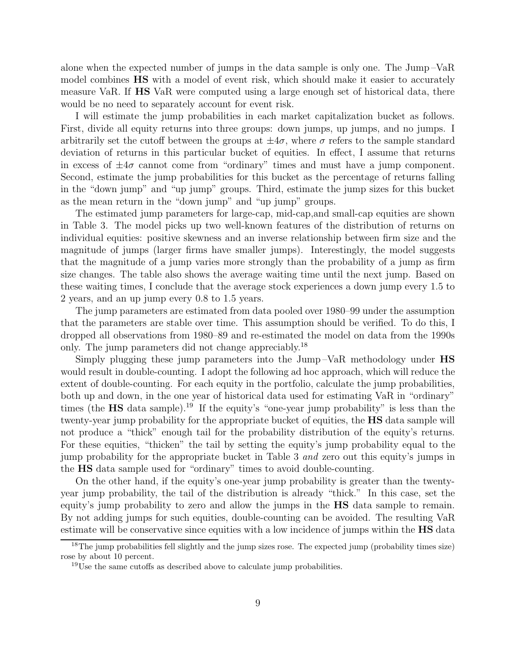alone when the expected number of jumps in the data sample is only one. The Jump –VaR model combines **HS** with a model of event risk, which should make it easier to accurately measure VaR. If **HS** VaR were computed using a large enough set of historical data, there would be no need to separately account for event risk.

I will estimate the jump probabilities in each market capitalization bucket as follows. First, divide all equity returns into three groups: down jumps, up jumps, and no jumps. I arbitrarily set the cutoff between the groups at  $\pm 4\sigma$ , where  $\sigma$  refers to the sample standard deviation of returns in this particular bucket of equities. In effect, I assume that returns in excess of  $\pm 4\sigma$  cannot come from "ordinary" times and must have a jump component. Second, estimate the jump probabilities for this bucket as the percentage of returns falling in the "down jump" and "up jump" groups. Third, estimate the jump sizes for this bucket as the mean return in the "down jump" and "up jump" groups.

The estimated jump parameters for large-cap, mid-cap,and small-cap equities are shown in Table 3. The model picks up two well-known features of the distribution of returns on individual equities: positive skewness and an inverse relationship between firm size and the magnitude of jumps (larger firms have smaller jumps). Interestingly, the model suggests that the magnitude of a jump varies more strongly than the probability of a jump as firm size changes. The table also shows the average waiting time until the next jump. Based on these waiting times, I conclude that the average stock experiences a down jump every 1.5 to 2 years, and an up jump every 0.8 to 1.5 years.

The jump parameters are estimated from data pooled over 1980–99 under the assumption that the parameters are stable over time. This assumption should be verified. To do this, I dropped all observations from 1980–89 and re-estimated the model on data from the 1990s only. The jump parameters did not change appreciably.<sup>18</sup>

Simply plugging these jump parameters into the Jump –VaR methodology under **HS** would result in double-counting. I adopt the following ad hoc approach, which will reduce the extent of double-counting. For each equity in the portfolio, calculate the jump probabilities, both up and down, in the one year of historical data used for estimating VaR in "ordinary" times (the **HS** data sample).<sup>19</sup> If the equity's "one-year jump probability" is less than the twenty-year jump probability for the appropriate bucket of equities, the **HS** data sample will not produce a "thick" enough tail for the probability distribution of the equity's returns. For these equities, "thicken" the tail by setting the equity's jump probability equal to the jump probability for the appropriate bucket in Table 3 and zero out this equity's jumps in the **HS** data sample used for "ordinary" times to avoid double-counting.

On the other hand, if the equity's one-year jump probability is greater than the twentyyear jump probability, the tail of the distribution is already "thick." In this case, set the equity's jump probability to zero and allow the jumps in the **HS** data sample to remain. By not adding jumps for such equities, double-counting can be avoided. The resulting VaR estimate will be conservative since equities with a low incidence of jumps within the **HS** data

<sup>&</sup>lt;sup>18</sup>The jump probabilities fell slightly and the jump sizes rose. The expected jump (probability times size) rose by about 10 percent.

<sup>&</sup>lt;sup>19</sup>Use the same cutoffs as described above to calculate jump probabilities.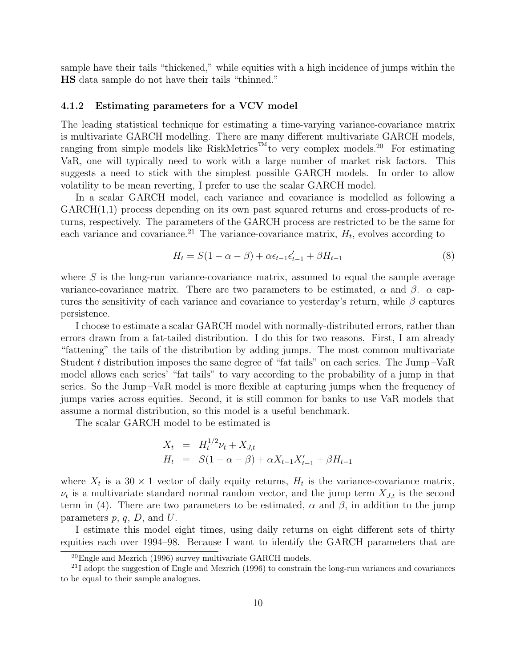sample have their tails "thickened," while equities with a high incidence of jumps within the **HS** data sample do not have their tails "thinned."

#### **4.1.2 Estimating parameters for a VCV model**

The leading statistical technique for estimating a time-varying variance-covariance matrix is multivariate GARCH modelling. There are many different multivariate GARCH models, ranging from simple models like RiskMetrics<sup>TM</sup> to very complex models.<sup>20</sup> For estimating VaR, one will typically need to work with a large number of market risk factors. This suggests a need to stick with the simplest possible GARCH models. In order to allow volatility to be mean reverting, I prefer to use the scalar GARCH model.

In a scalar GARCH model, each variance and covariance is modelled as following a  $GARCH(1,1)$  process depending on its own past squared returns and cross-products of returns, respectively. The parameters of the GARCH process are restricted to be the same for each variance and covariance.<sup>21</sup> The variance-covariance matrix,  $H_t$ , evolves according to

$$
H_t = S(1 - \alpha - \beta) + \alpha \epsilon_{t-1} \epsilon'_{t-1} + \beta H_{t-1}
$$
\n(8)

where  $S$  is the long-run variance-covariance matrix, assumed to equal the sample average variance-covariance matrix. There are two parameters to be estimated,  $\alpha$  and  $\beta$ .  $\alpha$  captures the sensitivity of each variance and covariance to yesterday's return, while  $\beta$  captures persistence.

I choose to estimate a scalar GARCH model with normally-distributed errors, rather than errors drawn from a fat-tailed distribution. I do this for two reasons. First, I am already "fattening" the tails of the distribution by adding jumps. The most common multivariate Student t distribution imposes the same degree of "fat tails" on each series. The Jump-VaR model allows each series' "fat tails" to vary according to the probability of a jump in that series. So the Jump –VaR model is more flexible at capturing jumps when the frequency of jumps varies across equities. Second, it is still common for banks to use VaR models that assume a normal distribution, so this model is a useful benchmark.

The scalar GARCH model to be estimated is

$$
X_t = H_t^{1/2} \nu_t + X_{J,t}
$$
  
\n
$$
H_t = S(1 - \alpha - \beta) + \alpha X_{t-1} X'_{t-1} + \beta H_{t-1}
$$

where  $X_t$  is a 30  $\times$  1 vector of daily equity returns,  $H_t$  is the variance-covariance matrix,  $\nu_t$  is a multivariate standard normal random vector, and the jump term  $X_{J,t}$  is the second term in (4). There are two parameters to be estimated,  $\alpha$  and  $\beta$ , in addition to the jump parameters  $p, q, D$ , and  $U$ .

I estimate this model eight times, using daily returns on eight different sets of thirty equities each over 1994–98. Because I want to identify the GARCH parameters that are

 $^{20}$ Engle and Mezrich (1996) survey multivariate GARCH models.

 $^{21}$ I adopt the suggestion of Engle and Mezrich (1996) to constrain the long-run variances and covariances to be equal to their sample analogues.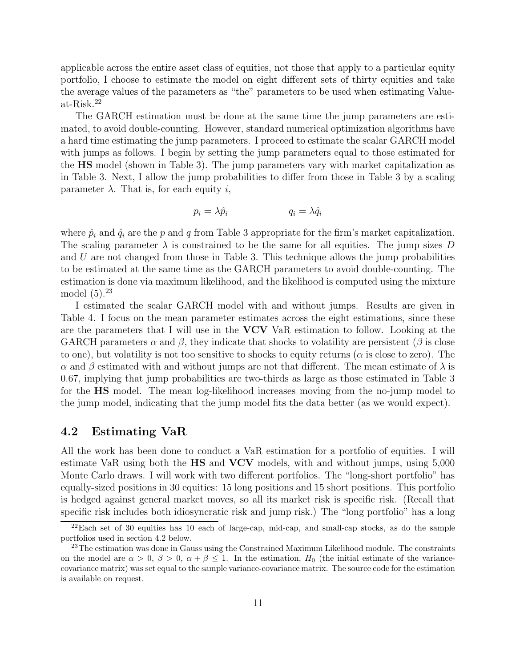applicable across the entire asset class of equities, not those that apply to a particular equity portfolio, I choose to estimate the model on eight different sets of thirty equities and take the average values of the parameters as "the" parameters to be used when estimating Valueat-Risk.<sup>22</sup>

The GARCH estimation must be done at the same time the jump parameters are estimated, to avoid double-counting. However, standard numerical optimization algorithms have a hard time estimating the jump parameters. I proceed to estimate the scalar GARCH model with jumps as follows. I begin by setting the jump parameters equal to those estimated for the **HS** model (shown in Table 3). The jump parameters vary with market capitalization as in Table 3. Next, I allow the jump probabilities to differ from those in Table 3 by a scaling parameter  $\lambda$ . That is, for each equity i,

$$
p_i = \lambda \hat{p}_i \qquad \qquad q_i = \lambda \hat{q}_i
$$

where  $\hat{p}_i$  and  $\hat{q}_i$  are the p and q from Table 3 appropriate for the firm's market capitalization. The scaling parameter  $\lambda$  is constrained to be the same for all equities. The jump sizes D and  $U$  are not changed from those in Table 3. This technique allows the jump probabilities to be estimated at the same time as the GARCH parameters to avoid double-counting. The estimation is done via maximum likelihood, and the likelihood is computed using the mixture model  $(5).^{23}$ 

I estimated the scalar GARCH model with and without jumps. Results are given in Table 4. I focus on the mean parameter estimates across the eight estimations, since these are the parameters that I will use in the **VCV** VaR estimation to follow. Looking at the GARCH parameters  $\alpha$  and  $\beta$ , they indicate that shocks to volatility are persistent ( $\beta$  is close to one), but volatility is not too sensitive to shocks to equity returns ( $\alpha$  is close to zero). The  $\alpha$  and  $\beta$  estimated with and without jumps are not that different. The mean estimate of  $\lambda$  is 0.67, implying that jump probabilities are two-thirds as large as those estimated in Table 3 for the **HS** model. The mean log-likelihood increases moving from the no-jump model to the jump model, indicating that the jump model fits the data better (as we would expect).

### **4.2 Estimating VaR**

All the work has been done to conduct a VaR estimation for a portfolio of equities. I will estimate VaR using both the **HS** and **VCV** models, with and without jumps, using 5,000 Monte Carlo draws. I will work with two different portfolios. The "long-short portfolio" has equally-sized positions in 30 equities: 15 long positions and 15 short positions. This portfolio is hedged against general market moves, so all its market risk is specific risk. (Recall that specific risk includes both idiosyncratic risk and jump risk.) The "long portfolio" has a long

<sup>22</sup>Each set of 30 equities has 10 each of large-cap, mid-cap, and small-cap stocks, as do the sample portfolios used in section 4.2 below.

<sup>&</sup>lt;sup>23</sup>The estimation was done in Gauss using the Constrained Maximum Likelihood module. The constraints on the model are  $\alpha > 0$ ,  $\beta > 0$ ,  $\alpha + \beta \leq 1$ . In the estimation,  $H_0$  (the initial estimate of the variancecovariance matrix) was set equal to the sample variance-covariance matrix. The source code for the estimation is available on request.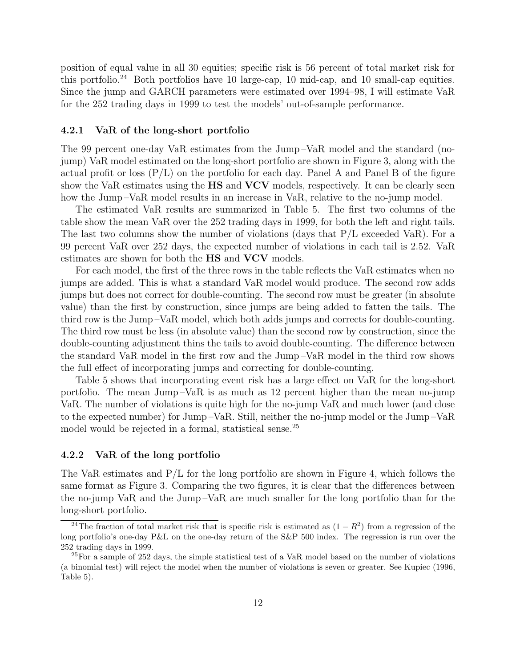position of equal value in all 30 equities; specific risk is 56 percent of total market risk for this portfolio.<sup>24</sup> Both portfolios have 10 large-cap, 10 mid-cap, and 10 small-cap equities. Since the jump and GARCH parameters were estimated over 1994–98, I will estimate VaR for the 252 trading days in 1999 to test the models' out-of-sample performance.

#### **4.2.1 VaR of the long-short portfolio**

The 99 percent one-day VaR estimates from the Jump –VaR model and the standard (nojump) VaR model estimated on the long-short portfolio are shown in Figure 3, along with the actual profit or loss  $(P/L)$  on the portfolio for each day. Panel A and Panel B of the figure show the VaR estimates using the **HS** and **VCV** models, respectively. It can be clearly seen how the Jump –VaR model results in an increase in VaR, relative to the no-jump model.

The estimated VaR results are summarized in Table 5. The first two columns of the table show the mean VaR over the 252 trading days in 1999, for both the left and right tails. The last two columns show the number of violations (days that  $P/L$  exceeded VaR). For a 99 percent VaR over 252 days, the expected number of violations in each tail is 2.52. VaR estimates are shown for both the **HS** and **VCV** models.

For each model, the first of the three rows in the table reflects the VaR estimates when no jumps are added. This is what a standard VaR model would produce. The second row adds jumps but does not correct for double-counting. The second row must be greater (in absolute value) than the first by construction, since jumps are being added to fatten the tails. The third row is the Jump –VaR model, which both adds jumps and corrects for double-counting. The third row must be less (in absolute value) than the second row by construction, since the double-counting adjustment thins the tails to avoid double-counting. The difference between the standard VaR model in the first row and the Jump –VaR model in the third row shows the full effect of incorporating jumps and correcting for double-counting.

Table 5 shows that incorporating event risk has a large effect on VaR for the long-short portfolio. The mean Jump –VaR is as much as 12 percent higher than the mean no-jump VaR. The number of violations is quite high for the no-jump VaR and much lower (and close to the expected number) for Jump –VaR. Still, neither the no-jump model or the Jump –VaR model would be rejected in a formal, statistical sense.<sup>25</sup>

#### **4.2.2 VaR of the long portfolio**

The VaR estimates and  $P/L$  for the long portfolio are shown in Figure 4, which follows the same format as Figure 3. Comparing the two figures, it is clear that the differences between the no-jump VaR and the Jump –VaR are much smaller for the long portfolio than for the long-short portfolio.

<sup>&</sup>lt;sup>24</sup>The fraction of total market risk that is specific risk is estimated as  $(1 - R^2)$  from a regression of the long portfolio's one-day P&L on the one-day return of the S&P 500 index. The regression is run over the 252 trading days in 1999.

 $^{25}$ For a sample of 252 days, the simple statistical test of a VaR model based on the number of violations (a binomial test) will reject the model when the number of violations is seven or greater. See Kupiec (1996, Table 5).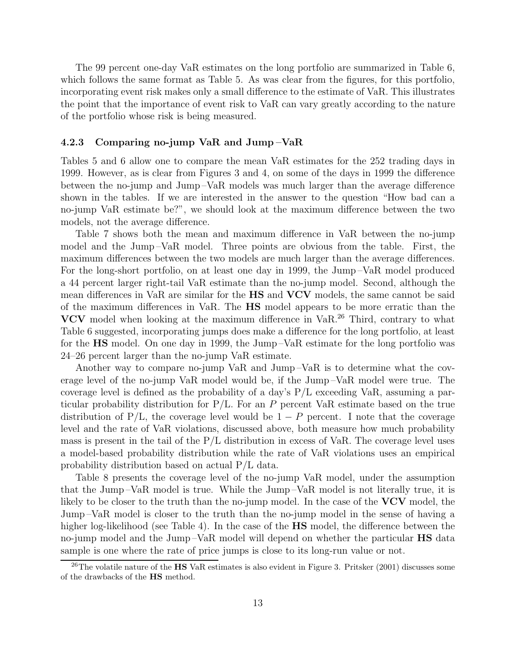The 99 percent one-day VaR estimates on the long portfolio are summarized in Table 6, which follows the same format as Table 5. As was clear from the figures, for this portfolio, incorporating event risk makes only a small difference to the estimate of VaR. This illustrates the point that the importance of event risk to VaR can vary greatly according to the nature of the portfolio whose risk is being measured.

#### **4.2.3 Comparing no-jump VaR and Jump –VaR**

Tables 5 and 6 allow one to compare the mean VaR estimates for the 252 trading days in 1999. However, as is clear from Figures 3 and 4, on some of the days in 1999 the difference between the no-jump and Jump –VaR models was much larger than the average difference shown in the tables. If we are interested in the answer to the question "How bad can a no-jump VaR estimate be?", we should look at the maximum difference between the two models, not the average difference.

Table 7 shows both the mean and maximum difference in VaR between the no-jump model and the Jump –VaR model. Three points are obvious from the table. First, the maximum differences between the two models are much larger than the average differences. For the long-short portfolio, on at least one day in 1999, the Jump –VaR model produced a 44 percent larger right-tail VaR estimate than the no-jump model. Second, although the mean differences in VaR are similar for the **HS** and **VCV** models, the same cannot be said of the maximum differences in VaR. The **HS** model appears to be more erratic than the **VCV** model when looking at the maximum difference in VaR.<sup>26</sup> Third, contrary to what Table 6 suggested, incorporating jumps does make a difference for the long portfolio, at least for the **HS** model. On one day in 1999, the Jump –VaR estimate for the long portfolio was 24–26 percent larger than the no-jump VaR estimate.

Another way to compare no-jump VaR and Jump –VaR is to determine what the coverage level of the no-jump VaR model would be, if the Jump –VaR model were true. The coverage level is defined as the probability of a day's  $P/L$  exceeding VaR, assuming a particular probability distribution for  $P/L$ . For an P percent VaR estimate based on the true distribution of P/L, the coverage level would be  $1 - P$  percent. I note that the coverage level and the rate of VaR violations, discussed above, both measure how much probability mass is present in the tail of the  $P/L$  distribution in excess of VaR. The coverage level uses a model-based probability distribution while the rate of VaR violations uses an empirical probability distribution based on actual P/L data.

Table 8 presents the coverage level of the no-jump VaR model, under the assumption that the Jump –VaR model is true. While the Jump –VaR model is not literally true, it is likely to be closer to the truth than the no-jump model. In the case of the **VCV** model, the Jump –VaR model is closer to the truth than the no-jump model in the sense of having a higher log-likelihood (see Table 4). In the case of the **HS** model, the difference between the no-jump model and the Jump –VaR model will depend on whether the particular **HS** data sample is one where the rate of price jumps is close to its long-run value or not.

<sup>26</sup>The volatile nature of the **HS** VaR estimates is also evident in Figure 3. Pritsker (2001) discusses some of the drawbacks of the **HS** method.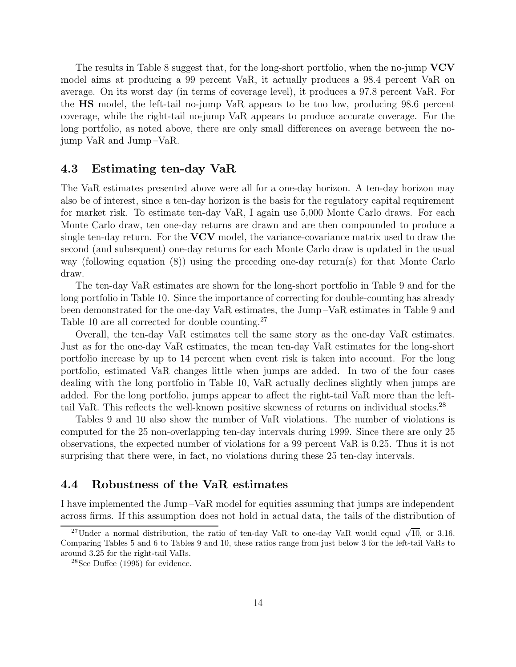The results in Table 8 suggest that, for the long-short portfolio, when the no-jump **VCV** model aims at producing a 99 percent VaR, it actually produces a 98.4 percent VaR on average. On its worst day (in terms of coverage level), it produces a 97.8 percent VaR. For the **HS** model, the left-tail no-jump VaR appears to be too low, producing 98.6 percent coverage, while the right-tail no-jump VaR appears to produce accurate coverage. For the long portfolio, as noted above, there are only small differences on average between the nojump VaR and Jump –VaR.

### **4.3 Estimating ten-day VaR**

The VaR estimates presented above were all for a one-day horizon. A ten-day horizon may also be of interest, since a ten-day horizon is the basis for the regulatory capital requirement for market risk. To estimate ten-day VaR, I again use 5,000 Monte Carlo draws. For each Monte Carlo draw, ten one-day returns are drawn and are then compounded to produce a single ten-day return. For the **VCV** model, the variance-covariance matrix used to draw the second (and subsequent) one-day returns for each Monte Carlo draw is updated in the usual way (following equation (8)) using the preceding one-day return(s) for that Monte Carlo draw.

The ten-day VaR estimates are shown for the long-short portfolio in Table 9 and for the long portfolio in Table 10. Since the importance of correcting for double-counting has already been demonstrated for the one-day VaR estimates, the Jump –VaR estimates in Table 9 and Table 10 are all corrected for double counting.<sup>27</sup>

Overall, the ten-day VaR estimates tell the same story as the one-day VaR estimates. Just as for the one-day VaR estimates, the mean ten-day VaR estimates for the long-short portfolio increase by up to 14 percent when event risk is taken into account. For the long portfolio, estimated VaR changes little when jumps are added. In two of the four cases dealing with the long portfolio in Table 10, VaR actually declines slightly when jumps are added. For the long portfolio, jumps appear to affect the right-tail VaR more than the lefttail VaR. This reflects the well-known positive skewness of returns on individual stocks.<sup>28</sup>

Tables 9 and 10 also show the number of VaR violations. The number of violations is computed for the 25 non-overlapping ten-day intervals during 1999. Since there are only 25 observations, the expected number of violations for a 99 percent VaR is 0.25. Thus it is not surprising that there were, in fact, no violations during these 25 ten-day intervals.

# **4.4 Robustness of the VaR estimates**

I have implemented the Jump –VaR model for equities assuming that jumps are independent across firms. If this assumption does not hold in actual data, the tails of the distribution of

<sup>&</sup>lt;sup>27</sup>Under a normal distribution, the ratio of ten-day VaR to one-day VaR would equal  $\sqrt{10}$ , or 3.16. Comparing Tables 5 and 6 to Tables 9 and 10, these ratios range from just below 3 for the left-tail VaRs to around 3.25 for the right-tail VaRs.

<sup>28</sup>See Duffee (1995) for evidence.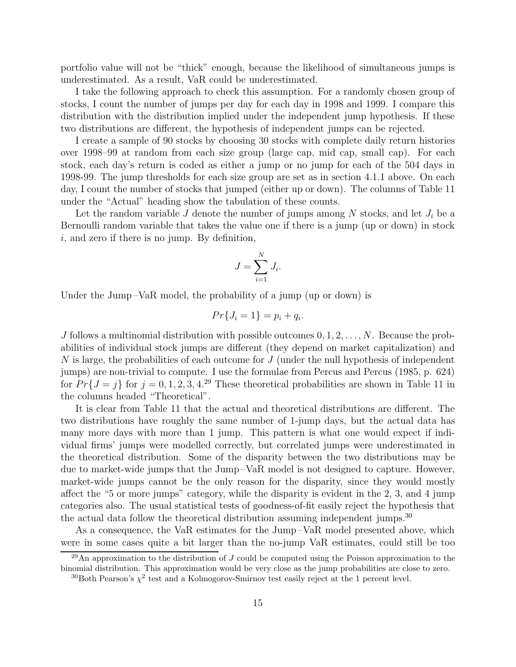portfolio value will not be "thick" enough, because the likelihood of simultaneous jumps is underestimated. As a result, VaR could be underestimated.

I take the following approach to check this assumption. For a randomly chosen group of stocks, I count the number of jumps per day for each day in 1998 and 1999. I compare this distribution with the distribution implied under the independent jump hypothesis. If these two distributions are different, the hypothesis of independent jumps can be rejected.

I create a sample of 90 stocks by choosing 30 stocks with complete daily return histories over 1998–99 at random from each size group (large cap, mid cap, small cap). For each stock, each day's return is coded as either a jump or no jump for each of the 504 days in 1998-99. The jump thresholds for each size group are set as in section 4.1.1 above. On each day, I count the number of stocks that jumped (either up or down). The columns of Table 11 under the "Actual" heading show the tabulation of these counts.

Let the random variable  $J$  denote the number of jumps among  $N$  stocks, and let  $J_i$  be a Bernoulli random variable that takes the value one if there is a jump (up or down) in stock  $i$ , and zero if there is no jump. By definition,

$$
J = \sum_{i=1}^{N} J_i.
$$

Under the Jump-VaR model, the probability of a jump (up or down) is

$$
Pr{J_i = 1} = p_i + q_i.
$$

J follows a multinomial distribution with possible outcomes  $0, 1, 2, \ldots, N$ . Because the probabilities of individual stock jumps are different (they depend on market capitalization) and  $N$  is large, the probabilities of each outcome for  $J$  (under the null hypothesis of independent jumps) are non-trivial to compute. I use the formulae from Percus and Percus (1985, p. 624) for  $Pr{J = j}$  for  $j = 0, 1, 2, 3, 4.29$  These theoretical probabilities are shown in Table 11 in the columns headed "Theoretical".

It is clear from Table 11 that the actual and theoretical distributions are different. The two distributions have roughly the same number of 1-jump days, but the actual data has many more days with more than 1 jump. This pattern is what one would expect if individual firms' jumps were modelled correctly, but correlated jumps were underestimated in the theoretical distribution. Some of the disparity between the two distributions may be due to market-wide jumps that the Jump –VaR model is not designed to capture. However, market-wide jumps cannot be the only reason for the disparity, since they would mostly affect the "5 or more jumps" category, while the disparity is evident in the 2, 3, and 4 jump categories also. The usual statistical tests of goodness-of-fit easily reject the hypothesis that the actual data follow the theoretical distribution assuming independent jumps.<sup>30</sup>

As a consequence, the VaR estimates for the Jump –VaR model presented above, which were in some cases quite a bit larger than the no-jump VaR estimates, could still be too

 $^{29}$ An approximation to the distribution of J could be computed using the Poisson approximation to the binomial distribution. This approximation would be very close as the jump probabilities are close to zero.

 $30$ Both Pearson's  $\chi^2$  test and a Kolmogorov-Smirnov test easily reject at the 1 percent level.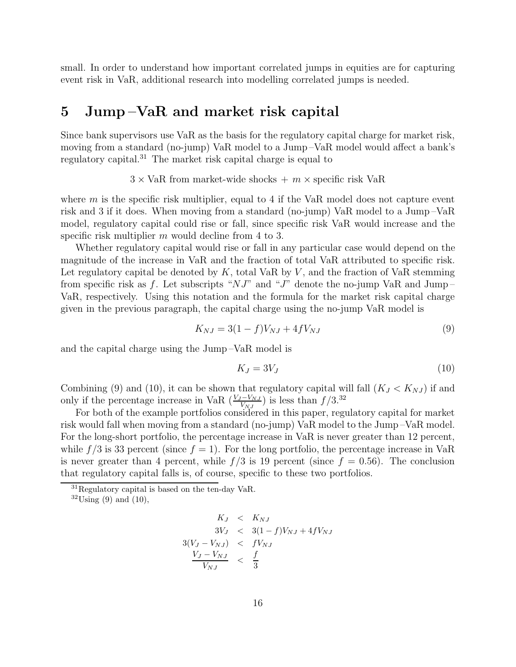small. In order to understand how important correlated jumps in equities are for capturing event risk in VaR, additional research into modelling correlated jumps is needed.

# **5 Jump –VaR and market risk capital**

Since bank supervisors use VaR as the basis for the regulatory capital charge for market risk, moving from a standard (no-jump) VaR model to a Jump –VaR model would affect a bank's regulatory capital.<sup>31</sup> The market risk capital charge is equal to

 $3 \times \text{VaR}$  from market-wide shocks  $+ m \times \text{specific risk VaR}$ 

where  $m$  is the specific risk multiplier, equal to 4 if the VaR model does not capture event risk and 3 if it does. When moving from a standard (no-jump) VaR model to a Jump –VaR model, regulatory capital could rise or fall, since specific risk VaR would increase and the specific risk multiplier m would decline from 4 to 3.

Whether regulatory capital would rise or fall in any particular case would depend on the magnitude of the increase in VaR and the fraction of total VaR attributed to specific risk. Let regulatory capital be denoted by  $K$ , total VaR by  $V$ , and the fraction of VaR stemming from specific risk as f. Let subscripts " $NJ$ " and " $J$ " denote the no-jump VaR and Jump-VaR, respectively. Using this notation and the formula for the market risk capital charge given in the previous paragraph, the capital charge using the no-jump VaR model is

$$
K_{NJ} = 3(1 - f)V_{NJ} + 4fV_{NJ}
$$
\n(9)

and the capital charge using the Jump –VaR model is

$$
K_J = 3V_J \tag{10}
$$

Combining (9) and (10), it can be shown that regulatory capital will fall  $(K_J < K_{NJ})$  if and only if the percentage increase in VaR  $(\frac{V_J-V_{NJ}}{V_{NJ}})$  is less than  $f/3$ .<sup>32</sup>

For both of the example portfolios considered in this paper, regulatory capital for market risk would fall when moving from a standard (no-jump) VaR model to the Jump –VaR model. For the long-short portfolio, the percentage increase in VaR is never greater than 12 percent, while  $f/3$  is 33 percent (since  $f = 1$ ). For the long portfolio, the percentage increase in VaR is never greater than 4 percent, while  $f/3$  is 19 percent (since  $f = 0.56$ ). The conclusion that regulatory capital falls is, of course, specific to these two portfolios.

$$
K_J < K_{NJ} \n3V_J < 3(1-f)V_{NJ} + 4fV_{NJ} \n3(V_J - V_{NJ}) < fV_{NJ} \n\frac{V_J - V_{NJ}}{V_{NJ}} < \frac{f}{3}
$$

 ${}^{31}$ Regulatory capital is based on the ten-day VaR.

 $32 \text{Using } (9) \text{ and } (10),$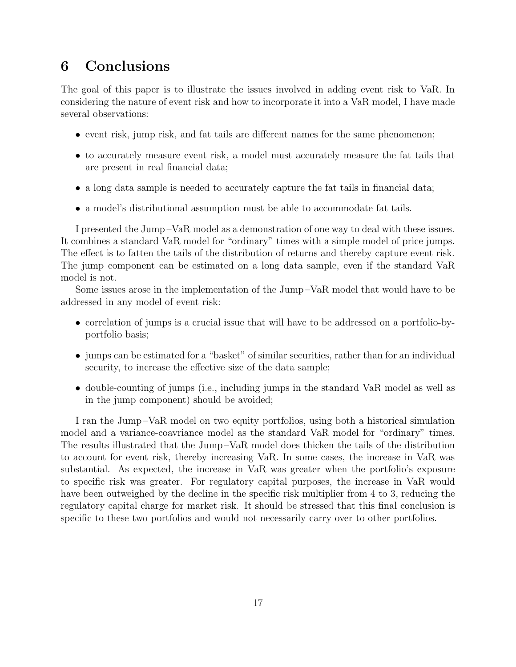# **6 Conclusions**

The goal of this paper is to illustrate the issues involved in adding event risk to VaR. In considering the nature of event risk and how to incorporate it into a VaR model, I have made several observations:

- event risk, jump risk, and fat tails are different names for the same phenomenon;
- to accurately measure event risk, a model must accurately measure the fat tails that are present in real financial data;
- a long data sample is needed to accurately capture the fat tails in financial data;
- a model's distributional assumption must be able to accommodate fat tails.

I presented the Jump –VaR model as a demonstration of one way to deal with these issues. It combines a standard VaR model for "ordinary" times with a simple model of price jumps. The effect is to fatten the tails of the distribution of returns and thereby capture event risk. The jump component can be estimated on a long data sample, even if the standard VaR model is not.

Some issues arose in the implementation of the Jump –VaR model that would have to be addressed in any model of event risk:

- correlation of jumps is a crucial issue that will have to be addressed on a portfolio-byportfolio basis;
- jumps can be estimated for a "basket" of similar securities, rather than for an individual security, to increase the effective size of the data sample;
- double-counting of jumps (i.e., including jumps in the standard VaR model as well as in the jump component) should be avoided;

I ran the Jump –VaR model on two equity portfolios, using both a historical simulation model and a variance-coavriance model as the standard VaR model for "ordinary" times. The results illustrated that the Jump –VaR model does thicken the tails of the distribution to account for event risk, thereby increasing VaR. In some cases, the increase in VaR was substantial. As expected, the increase in VaR was greater when the portfolio's exposure to specific risk was greater. For regulatory capital purposes, the increase in VaR would have been outweighed by the decline in the specific risk multiplier from 4 to 3, reducing the regulatory capital charge for market risk. It should be stressed that this final conclusion is specific to these two portfolios and would not necessarily carry over to other portfolios.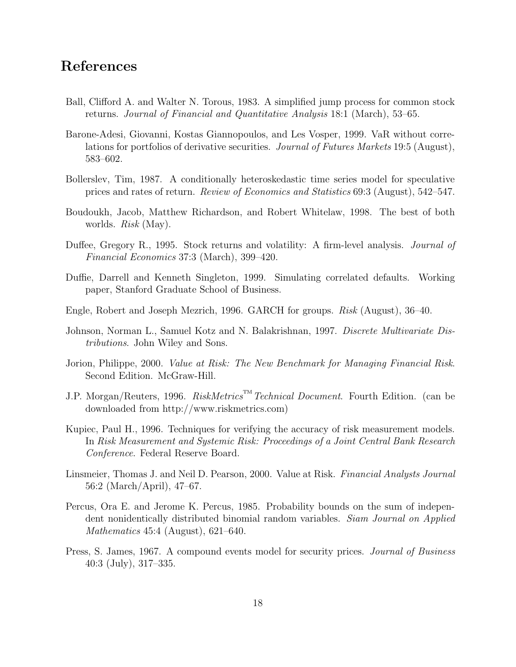# **References**

- Ball, Clifford A. and Walter N. Torous, 1983. A simplified jump process for common stock returns. Journal of Financial and Quantitative Analysis 18:1 (March), 53–65.
- Barone-Adesi, Giovanni, Kostas Giannopoulos, and Les Vosper, 1999. VaR without correlations for portfolios of derivative securities. Journal of Futures Markets 19:5 (August), 583–602.
- Bollerslev, Tim, 1987. A conditionally heteroskedastic time series model for speculative prices and rates of return. Review of Economics and Statistics 69:3 (August), 542–547.
- Boudoukh, Jacob, Matthew Richardson, and Robert Whitelaw, 1998. The best of both worlds. Risk (May).
- Duffee, Gregory R., 1995. Stock returns and volatility: A firm-level analysis. *Journal of* Financial Economics 37:3 (March), 399–420.
- Duffie, Darrell and Kenneth Singleton, 1999. Simulating correlated defaults. Working paper, Stanford Graduate School of Business.
- Engle, Robert and Joseph Mezrich, 1996. GARCH for groups. Risk (August), 36–40.
- Johnson, Norman L., Samuel Kotz and N. Balakrishnan, 1997. Discrete Multivariate Distributions. John Wiley and Sons.
- Jorion, Philippe, 2000. Value at Risk: The New Benchmark for Managing Financial Risk. Second Edition. McGraw-Hill.
- J.P. Morgan/Reuters, 1996. RiskMetrics<sup>TM</sup> Technical Document. Fourth Edition. (can be downloaded from http://www.riskmetrics.com)
- Kupiec, Paul H., 1996. Techniques for verifying the accuracy of risk measurement models. In Risk Measurement and Systemic Risk: Proceedings of a Joint Central Bank Research Conference. Federal Reserve Board.
- Linsmeier, Thomas J. and Neil D. Pearson, 2000. Value at Risk. Financial Analysts Journal 56:2 (March/April), 47–67.
- Percus, Ora E. and Jerome K. Percus, 1985. Probability bounds on the sum of independent nonidentically distributed binomial random variables. Siam Journal on Applied Mathematics 45:4 (August), 621–640.
- Press, S. James, 1967. A compound events model for security prices. Journal of Business 40:3 (July), 317–335.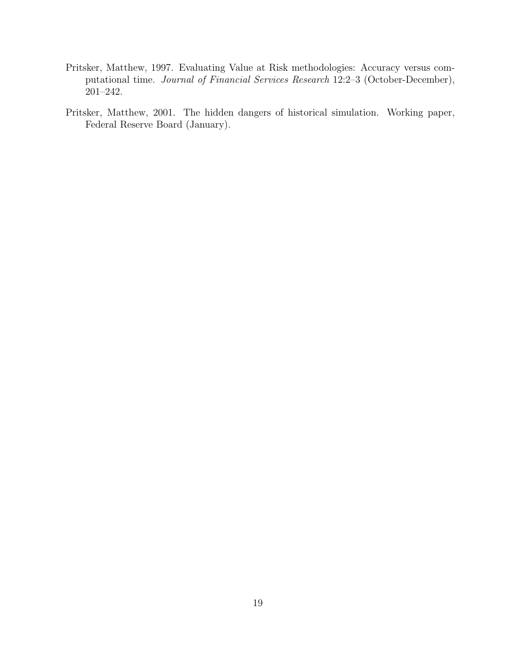- Pritsker, Matthew, 1997. Evaluating Value at Risk methodologies: Accuracy versus computational time. Journal of Financial Services Research 12:2–3 (October-December), 201–242.
- Pritsker, Matthew, 2001. The hidden dangers of historical simulation. Working paper, Federal Reserve Board (January).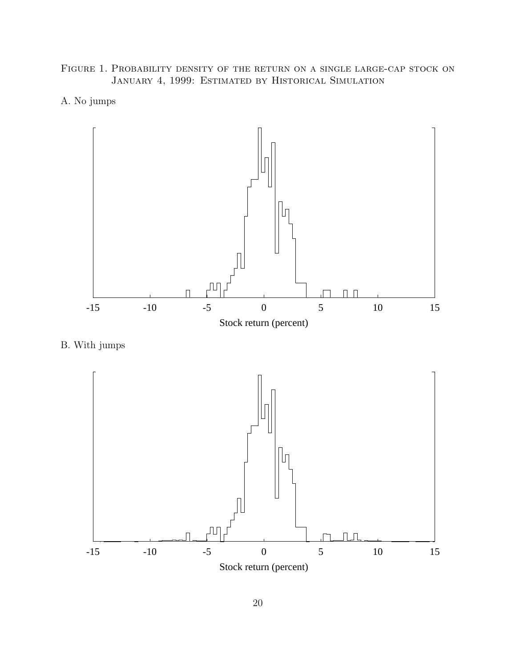Figure 1. Probability density of the return on a single large-cap stock on JANUARY 4, 1999: ESTIMATED BY HISTORICAL SIMULATION





B. With jumps

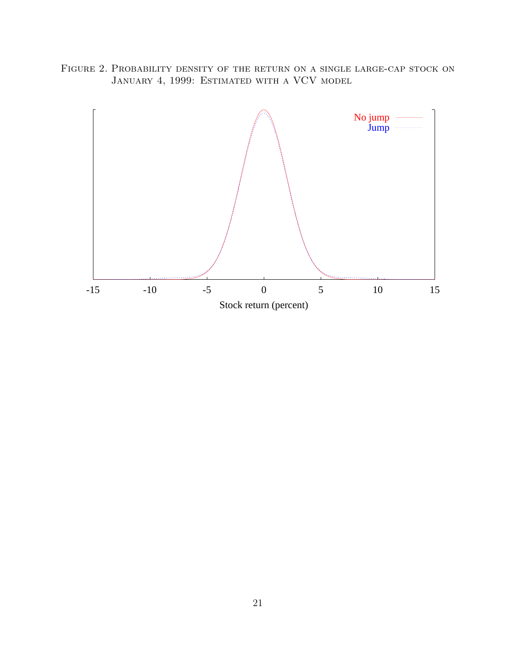Figure 2. Probability density of the return on a single large-cap stock on JANUARY 4, 1999: ESTIMATED WITH A VCV MODEL

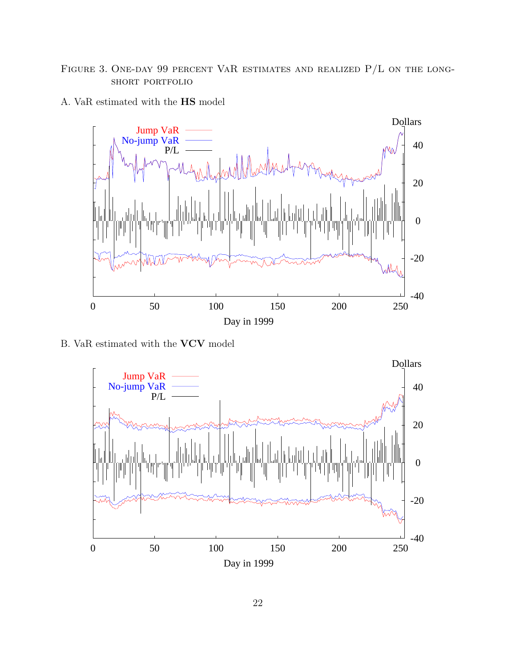# FIGURE 3. ONE-DAY 99 PERCENT VAR ESTIMATES AND REALIZED  $P/L$  on the longshort portfolio





B. VaR estimated with the **VCV** model

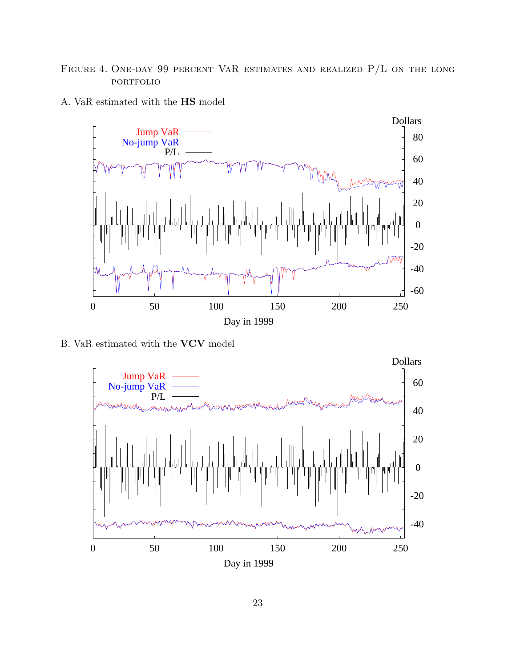# FIGURE 4. ONE-DAY 99 PERCENT VAR ESTIMATES AND REALIZED  $P/L$  on the long **PORTFOLIO**





B. VaR estimated with the **VCV** model

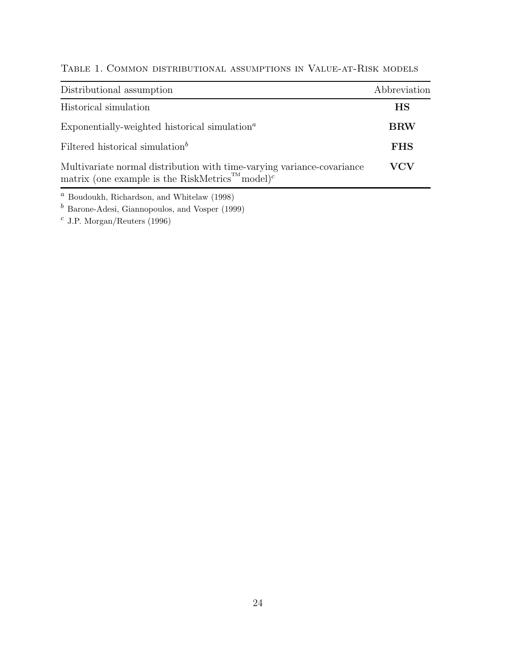| Distributional assumption                                                                                                                          | Abbreviation |
|----------------------------------------------------------------------------------------------------------------------------------------------------|--------------|
| Historical simulation                                                                                                                              | <b>HS</b>    |
| Exponentially-weighted historical simulation <sup><math>a</math></sup>                                                                             | <b>BRW</b>   |
| Filtered historical simulation <sup>b</sup>                                                                                                        | <b>FHS</b>   |
| Multivariate normal distribution with time-varying variance-covariance<br>matrix (one example is the RiskMetrics <sup>TM</sup> model) <sup>c</sup> | VCV          |

Table 1. Common distributional assumptions in Value-at-Risk models

 $a$  Boudoukh, Richardson, and Whitelaw (1998)

 $<sup>b</sup>$  Barone-Adesi, Giannopoulos, and Vosper (1999)</sup>

 $^c$  J.P. Morgan/Reuters (1996)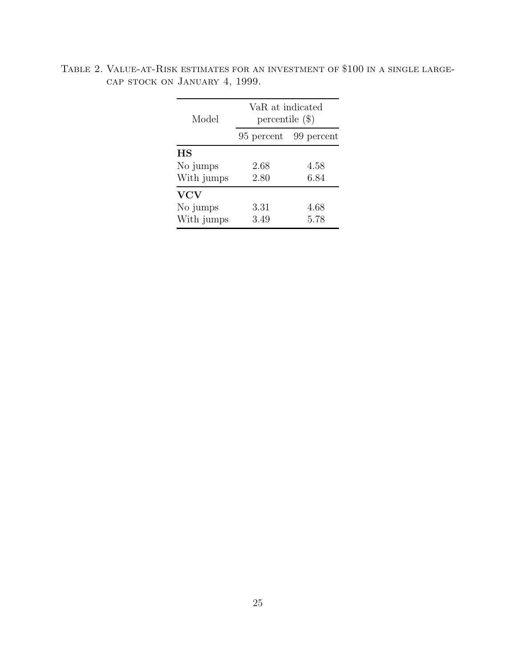| Model      | VaR at indicated<br>percentile $(\$)$ |            |  |  |
|------------|---------------------------------------|------------|--|--|
|            | 95 percent                            | 99 percent |  |  |
| <b>HS</b>  |                                       |            |  |  |
| No jumps   | 2.68                                  | 4.58       |  |  |
| With jumps | 2.80                                  | 6.84       |  |  |
| <b>VCV</b> |                                       |            |  |  |
| No jumps   | 3.31                                  | 4.68       |  |  |
| With jumps | 3.49                                  | 5.78       |  |  |

Table 2. Value-at-Risk estimates for an investment of \$100 in a single largecap stock on January 4, 1999.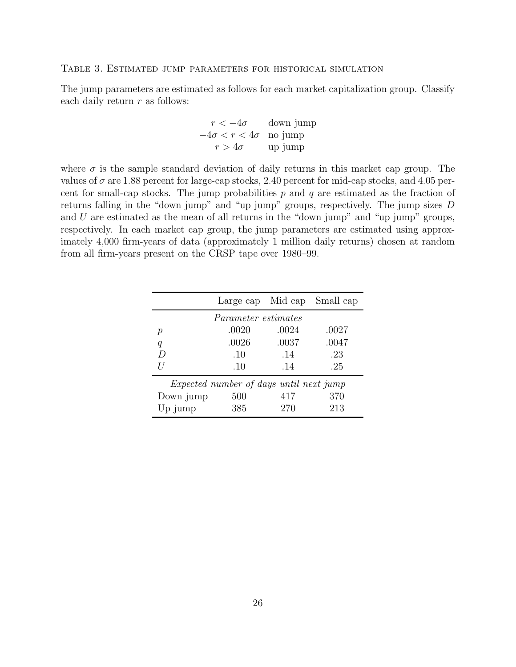#### Table 3. Estimated jump parameters for historical simulation

The jump parameters are estimated as follows for each market capitalization group. Classify each daily return  $r$  as follows:

$$
r < -4\sigma \qquad \text{down jump}
$$

$$
-4\sigma < r < 4\sigma \quad \text{no jump}
$$

$$
r > 4\sigma \qquad \text{up jump}
$$

where  $\sigma$  is the sample standard deviation of daily returns in this market cap group. The values of  $\sigma$  are 1.88 percent for large-cap stocks, 2.40 percent for mid-cap stocks, and 4.05 percent for small-cap stocks. The jump probabilities  $p$  and  $q$  are estimated as the fraction of returns falling in the "down jump" and "up jump" groups, respectively. The jump sizes D and  $U$  are estimated as the mean of all returns in the "down jump" and "up jump" groups, respectively. In each market cap group, the jump parameters are estimated using approximately 4,000 firm-years of data (approximately 1 million daily returns) chosen at random from all firm-years present on the CRSP tape over 1980–99.

|                                                |                            |       | Large cap Mid cap Small cap |  |  |
|------------------------------------------------|----------------------------|-------|-----------------------------|--|--|
|                                                | <i>Parameter estimates</i> |       |                             |  |  |
| р                                              | .0020                      | .0024 | .0027                       |  |  |
| q                                              | .0026                      | .0037 | .0047                       |  |  |
| $\overline{D}$                                 | .10                        | .14   | .23                         |  |  |
|                                                | .10                        | .14   | .25                         |  |  |
| <i>Expected number of days until next jump</i> |                            |       |                             |  |  |
| Down jump                                      | 500                        | 417   | 370                         |  |  |
| $Up_j$                                         | 385                        | 270   | 213                         |  |  |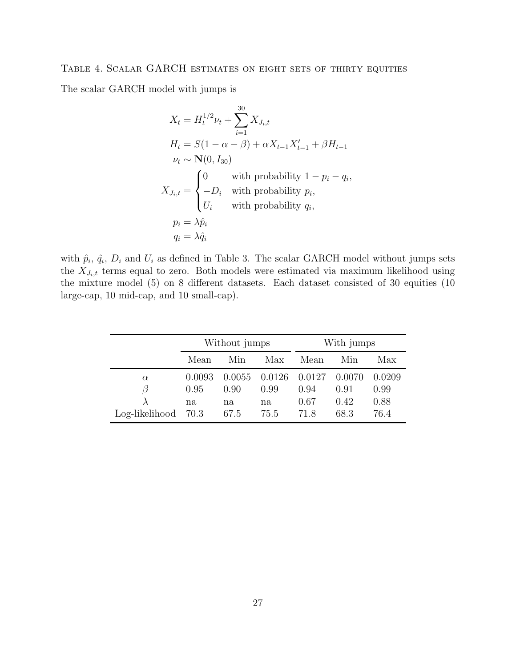### Table 4. Scalar GARCH estimates on eight sets of thirty equities

The scalar GARCH model with jumps is

$$
X_t = H_t^{1/2} \nu_t + \sum_{i=1}^{30} X_{J_i, t}
$$
  
\n
$$
H_t = S(1 - \alpha - \beta) + \alpha X_{t-1} X'_{t-1} + \beta H_{t-1}
$$
  
\n
$$
\nu_t \sim \mathbf{N}(0, I_{30})
$$
  
\n
$$
X_{J_i, t} = \begin{cases} 0 & \text{with probability } 1 - p_i - q_i, \\ -D_i & \text{with probability } p_i, \\ U_i & \text{with probability } q_i, \\ p_i = \lambda \hat{p}_i \\ q_i = \lambda \hat{q}_i \end{cases}
$$

with  $\hat{p}_i$ ,  $\hat{q}_i$ ,  $D_i$  and  $U_i$  as defined in Table 3. The scalar GARCH model without jumps sets the  $X_{J_i,t}$  terms equal to zero. Both models were estimated via maximum likelihood using the mixture model (5) on 8 different datasets. Each dataset consisted of 30 equities (10 large-cap, 10 mid-cap, and 10 small-cap).

|                     | Without jumps |        |        |        | With jumps |        |
|---------------------|---------------|--------|--------|--------|------------|--------|
|                     | Mean          | Min    | Max    | Mean   | Min        | Max    |
| $\alpha$            | 0.0093        | 0.0055 | 0.0126 | 0.0127 | 0.0070     | 0.0209 |
| 3                   | 0.95          | 0.90   | 0.99   | 0.94   | 0.91       | 0.99   |
|                     | na            | na     | na     | 0.67   | 0.42       | 0.88   |
| Log-likelihood 70.3 |               | 67.5   | 75.5   | 71.8   | 68.3       | 76.4   |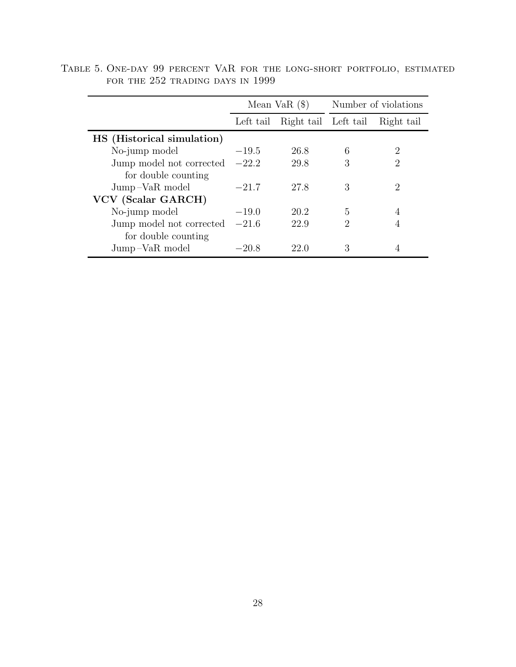|                            | Mean VaR $($ \$) |                      |                             | Number of violations        |
|----------------------------|------------------|----------------------|-----------------------------|-----------------------------|
|                            | Left tail        | Right tail Left tail |                             | Right tail                  |
| HS (Historical simulation) |                  |                      |                             |                             |
| No-jump model              | $-19.5$          | 26.8                 | 6                           | 2                           |
| Jump model not corrected   | $-22.2$          | 29.8                 | 3                           | 2                           |
| for double counting        |                  |                      |                             |                             |
| Jump-VaR model             | $-21.7$          | 27.8                 | 3                           | $\mathcal{D}_{\mathcal{L}}$ |
| VCV (Scalar GARCH)         |                  |                      |                             |                             |
| No-jump model              | $-19.0$          | 20.2                 | 5                           | 4                           |
| Jump model not corrected   | $-21.6$          | 22.9                 | $\mathcal{D}_{\mathcal{A}}$ | 4                           |
| for double counting        |                  |                      |                             |                             |
| Jump-VaR model             | $-20.8$          | 22.0                 | 3                           |                             |

Table 5. One-day 99 percent VaR for the long-short portfolio, estimated for the 252 trading days in 1999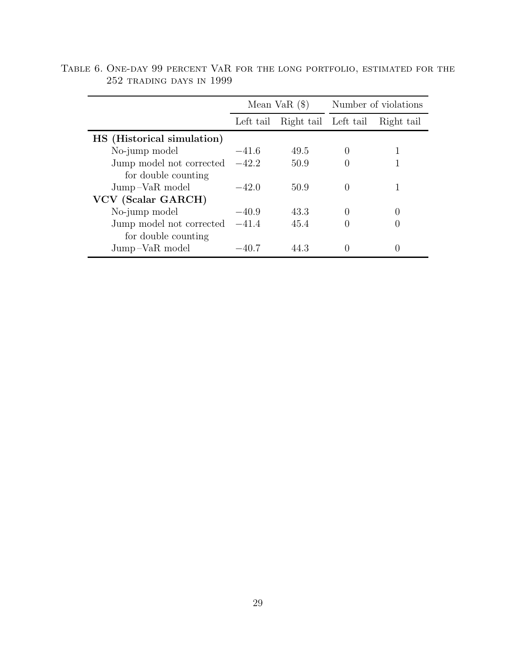|                            | Mean VaR $($ \$) |                      |                  | Number of violations |
|----------------------------|------------------|----------------------|------------------|----------------------|
|                            | Left tail        | Right tail Left tail |                  | Right tail           |
| HS (Historical simulation) |                  |                      |                  |                      |
| No-jump model              | $-41.6$          | 49.5                 | $\left( \right)$ |                      |
| Jump model not corrected   | $-42.2$          | 50.9                 |                  |                      |
| for double counting        |                  |                      |                  |                      |
| Jump-VaR model             | $-42.0$          | 50.9                 | $\left( \right)$ |                      |
| VCV (Scalar GARCH)         |                  |                      |                  |                      |
| No-jump model              | $-40.9$          | 43.3                 | $\left( \right)$ |                      |
| Jump model not corrected   | $-41.4$          | 45.4                 |                  |                      |
| for double counting        |                  |                      |                  |                      |
| Jump-VaR model             | $-40.7$          | 44.3                 |                  |                      |

Table 6. One-day 99 percent VaR for the long portfolio, estimated for the 252 trading days in 1999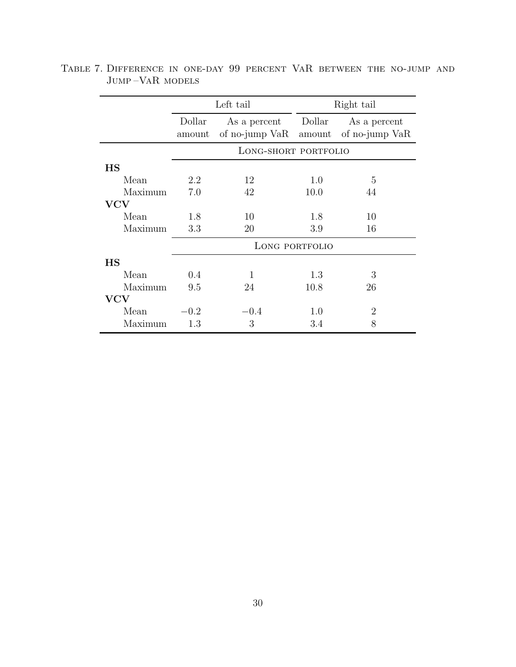|             |                  | Left tail                      |                  | Right tail                     |
|-------------|------------------|--------------------------------|------------------|--------------------------------|
|             | Dollar<br>amount | As a percent<br>of no-jump VaR | Dollar<br>amount | As a percent<br>of no-jump VaR |
|             |                  | LONG-SHORT PORTFOLIO           |                  |                                |
| <b>HS</b>   |                  |                                |                  |                                |
| Mean        | 2.2              | 12                             | 1.0              | 5                              |
| Maximum     | 7.0              | 42                             | 10.0             | 44                             |
| ${\rm VCV}$ |                  |                                |                  |                                |
| Mean        | 1.8              | 10                             | 1.8              | 10                             |
| Maximum     | 3.3              | 20                             | 3.9              | 16                             |
|             |                  |                                | LONG PORTFOLIO   |                                |
| <b>HS</b>   |                  |                                |                  |                                |
| Mean        | 0.4              | 1                              | 1.3              | 3                              |
| Maximum     | 9.5              | 24                             | 10.8             | 26                             |
| <b>VCV</b>  |                  |                                |                  |                                |
| Mean        | $-0.2$           | $-0.4$                         | 1.0              | $\overline{2}$                 |
| Maximum     | 1.3              | 3                              | 3.4              | 8                              |

Table 7. Difference in one-day 99 percent VaR between the no-jump and Jump –VaR models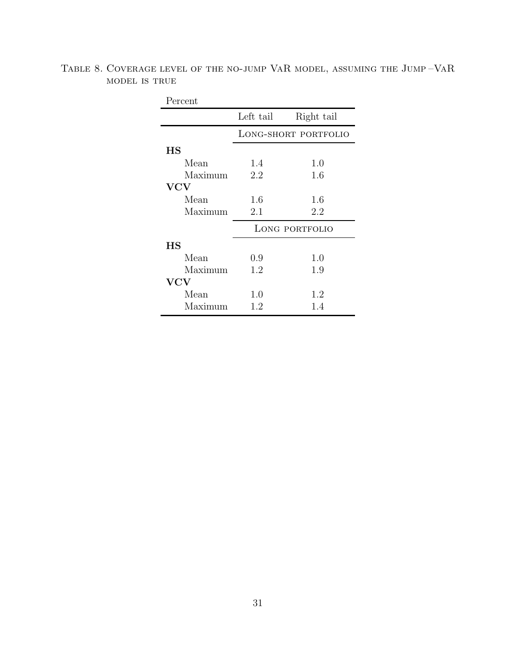| Percent     |                      |            |  |  |
|-------------|----------------------|------------|--|--|
|             | Left tail            | Right tail |  |  |
|             | LONG-SHORT PORTFOLIO |            |  |  |
| $_{\rm HS}$ |                      |            |  |  |
| Mean        | 1.4                  | 1.0        |  |  |
| Maximum     | 2.2                  | 1.6        |  |  |
| ${\rm VCV}$ |                      |            |  |  |
| Mean        | 1.6                  | 1.6        |  |  |
| Maximum     | 2.1                  | 2.2        |  |  |
|             | LONG PORTFOLIO       |            |  |  |
| НS          |                      |            |  |  |
| Mean        | 0.9                  | 1.0        |  |  |
| Maximum     | 1.2                  | 1.9        |  |  |
| ${\bf VCV}$ |                      |            |  |  |
| Mean        | 1.0                  | 1.2        |  |  |
| Maximum     | 1.2                  | 1.4        |  |  |

Table 8. Coverage level of the no-jump VaR model, assuming the Jump –VaR model is true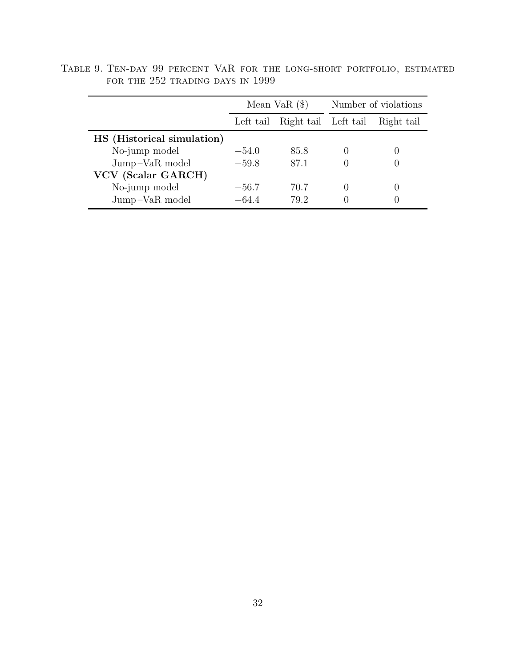|                            | Mean Va $R$ $(\$)$ |                      | Number of violations |            |
|----------------------------|--------------------|----------------------|----------------------|------------|
|                            | Left tail          | Right tail Left tail |                      | Right tail |
| HS (Historical simulation) |                    |                      |                      |            |
| No-jump model              | $-54.0$            | 85.8                 |                      |            |
| Jump-VaR model             | $-59.8$            | 87.1                 |                      |            |
| VCV (Scalar GARCH)         |                    |                      |                      |            |
| No-jump model              | $-56.7$            | 70.7                 |                      |            |
| Jump-VaR model             | $-64.4$            | 79.2                 |                      |            |

Table 9. Ten-day 99 percent VaR for the long-short portfolio, estimated for the 252 trading days in 1999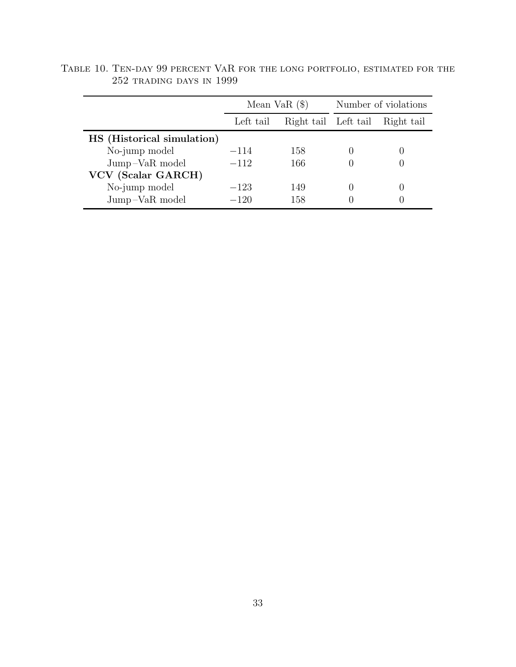|                            | Mean Va $R$ $(\$)$                |     | Number of violations |            |
|----------------------------|-----------------------------------|-----|----------------------|------------|
|                            | Right tail Left tail<br>Left tail |     |                      | Right tail |
| HS (Historical simulation) |                                   |     |                      |            |
| No-jump model              | $-114$                            | 158 |                      |            |
| Jump-VaR model             | $-112$                            | 166 |                      |            |
| VCV (Scalar GARCH)         |                                   |     |                      |            |
| No-jump model              | $-123$                            | 149 |                      |            |
| Jump-VaR model             | $-120$                            | 158 |                      |            |

Table 10. Ten-day 99 percent VaR for the long portfolio, estimated for the 252 trading days in 1999